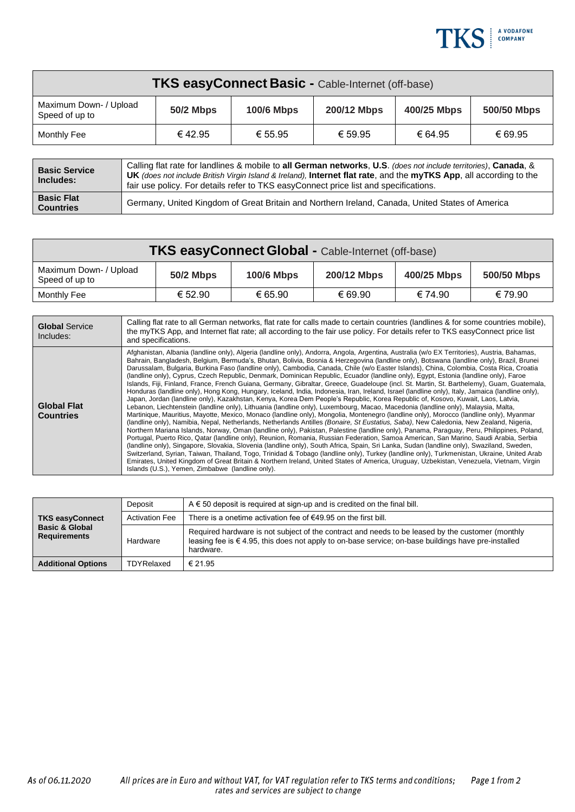

| <b>TKS easyConnect Basic - Cable-Internet (off-base)</b> |                  |                   |             |             |             |
|----------------------------------------------------------|------------------|-------------------|-------------|-------------|-------------|
| Maximum Down- / Upload<br>Speed of up to                 | <b>50/2 Mbps</b> | <b>100/6 Mbps</b> | 200/12 Mbps | 400/25 Mbps | 500/50 Mbps |
| Monthly Fee                                              | €42.95           | € 55.95           | € 59.95     | € 64.95     | € 69.95     |

| <b>Basic Service</b><br>Includes:     | Calling flat rate for landlines & mobile to all German networks, U.S. (does not include territories), Canada, &<br><b>UK</b> (does not include British Virgin Island & Ireland). Internet flat rate, and the myTKS App, all according to the<br>fair use policy. For details refer to TKS easyConnect price list and specifications. |
|---------------------------------------|--------------------------------------------------------------------------------------------------------------------------------------------------------------------------------------------------------------------------------------------------------------------------------------------------------------------------------------|
| <b>Basic Flat</b><br><b>Countries</b> | Germany, United Kingdom of Great Britain and Northern Ireland, Canada, United States of America                                                                                                                                                                                                                                      |

| <b>TKS easyConnect Global - Cable-Internet (off-base)</b> |                  |                   |             |             |             |
|-----------------------------------------------------------|------------------|-------------------|-------------|-------------|-------------|
| Maximum Down- / Upload<br>Speed of up to                  | <b>50/2 Mbps</b> | <b>100/6 Mbps</b> | 200/12 Mbps | 400/25 Mbps | 500/50 Mbps |
| Monthly Fee                                               | € 52.90          | € 65.90           | € 69.90     | € 74.90     | € 79.90     |

| <b>Global Service</b><br>Includes:     | Calling flat rate to all German networks, flat rate for calls made to certain countries (landlines & for some countries mobile).<br>the myTKS App, and Internet flat rate; all according to the fair use policy. For details refer to TKS easyConnect price list<br>and specifications.                                                                                                                                                                                                                                                                                                                                                                                                                                                                                                                                                                                                                                                                                                                                                                                                                                                                                                                                                                                                                                                                                                                                                                                                                                                                                                                                                                                                                                                                                                                                                                                                                                                                                                                                                                                                                                                                                                                                |
|----------------------------------------|------------------------------------------------------------------------------------------------------------------------------------------------------------------------------------------------------------------------------------------------------------------------------------------------------------------------------------------------------------------------------------------------------------------------------------------------------------------------------------------------------------------------------------------------------------------------------------------------------------------------------------------------------------------------------------------------------------------------------------------------------------------------------------------------------------------------------------------------------------------------------------------------------------------------------------------------------------------------------------------------------------------------------------------------------------------------------------------------------------------------------------------------------------------------------------------------------------------------------------------------------------------------------------------------------------------------------------------------------------------------------------------------------------------------------------------------------------------------------------------------------------------------------------------------------------------------------------------------------------------------------------------------------------------------------------------------------------------------------------------------------------------------------------------------------------------------------------------------------------------------------------------------------------------------------------------------------------------------------------------------------------------------------------------------------------------------------------------------------------------------------------------------------------------------------------------------------------------------|
| <b>Global Flat</b><br><b>Countries</b> | Afghanistan, Albania (landline only), Algeria (landline only), Andorra, Angola, Argentina, Australia (w/o EX Territories), Austria, Bahamas,<br>Bahrain, Bangladesh, Belgium, Bermuda's, Bhutan, Bolivia, Bosnia & Herzegovina (landline only), Botswana (landline only), Brazil, Brunei<br>Darussalam, Bulgaria, Burkina Faso (landline only), Cambodia, Canada, Chile (w/o Easter Islands), China, Colombia, Costa Rica, Croatia<br>(landline only), Cyprus, Czech Republic, Denmark, Dominican Republic, Ecuador (landline only), Egypt, Estonia (landline only), Faroe<br>Islands, Fiji, Finland, France, French Guiana, Germany, Gibraltar, Greece, Guadeloupe (incl. St. Martin, St. Barthelemy), Guam, Guatemala,<br>Honduras (landline only), Hong Kong, Hungary, Iceland, India, Indonesia, Iran, Ireland, Israel (landline only), Italy, Jamaica (landline only),<br>Japan, Jordan (landline only), Kazakhstan, Kenya, Korea Dem People's Republic, Korea Republic of, Kosovo, Kuwait, Laos, Latvia,<br>Lebanon, Liechtenstein (landline only), Lithuania (landline only), Luxembourg, Macao, Macedonia (landline only), Malaysia, Malta,<br>Martinique, Mauritius, Mayotte, Mexico, Monaco (landline only), Mongolia, Montenegro (landline only), Morocco (landline only), Myanmar<br>(landline only), Namibia, Nepal, Netherlands, Netherlands Antilles (Bonaire, St Eustatius, Saba), New Caledonia, New Zealand, Nigeria,<br>Northern Mariana Islands, Norway, Oman (landline only), Pakistan, Palestine (landline only), Panama, Paraguay, Peru, Philippines, Poland,<br>Portugal, Puerto Rico, Qatar (landline only), Reunion, Romania, Russian Federation, Samoa American, San Marino, Saudi Arabia, Serbia<br>(landline only), Singapore, Slovakia, Slovenia (landline only), South Africa, Spain, Sri Lanka, Sudan (landline only), Swaziland, Sweden,<br>Switzerland, Syrian, Taiwan, Thailand, Togo, Trinidad & Tobago (landline only), Turkey (landline only), Turkmenistan, Ukraine, United Arab<br>Emirates, United Kingdom of Great Britain & Northern Ireland, United States of America, Uruguay, Uzbekistan, Venezuela, Vietnam, Virgin<br>Islands (U.S.), Yemen, Zimbabwe (landline only). |

| <b>TKS easyConnect</b><br><b>Basic &amp; Global</b><br><b>Requirements</b> | Deposit               | $A \in 50$ deposit is required at sign-up and is credited on the final bill.                                                                                                                                                  |  |  |
|----------------------------------------------------------------------------|-----------------------|-------------------------------------------------------------------------------------------------------------------------------------------------------------------------------------------------------------------------------|--|--|
|                                                                            | <b>Activation Fee</b> | There is a onetime activation fee of $€49.95$ on the first bill.                                                                                                                                                              |  |  |
|                                                                            | Hardware              | Required hardware is not subject of the contract and needs to be leased by the customer (monthly<br>leasing fee is $\epsilon$ 4.95, this does not apply to on-base service; on-base buildings have pre-installed<br>hardware. |  |  |
| <b>Additional Options</b>                                                  | TDYRelaxed            | € 21.95                                                                                                                                                                                                                       |  |  |